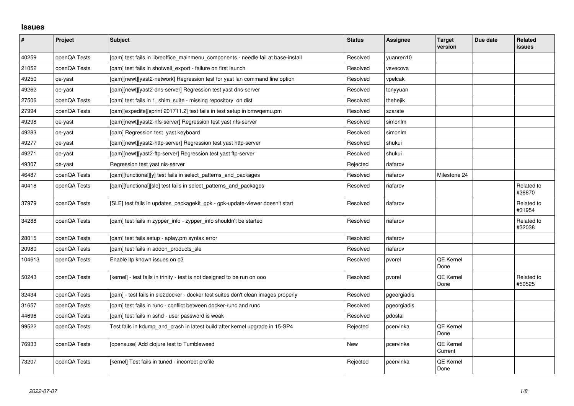## **Issues**

| $\vert$ # | Project      | <b>Subject</b>                                                                    | <b>Status</b> | <b>Assignee</b> | <b>Target</b><br>version | Due date | Related<br>issues    |
|-----------|--------------|-----------------------------------------------------------------------------------|---------------|-----------------|--------------------------|----------|----------------------|
| 40259     | openQA Tests | [gam] test fails in libreoffice mainmenu components - needle fail at base-install | Resolved      | yuanren10       |                          |          |                      |
| 21052     | openQA Tests | [qam] test fails in shotwell_export - failure on first launch                     | Resolved      | vsvecova        |                          |          |                      |
| 49250     | qe-yast      | [gam][newt][yast2-network] Regression test for yast lan command line option       | Resolved      | vpelcak         |                          |          |                      |
| 49262     | qe-yast      | [gam][newt][yast2-dns-server] Regression test yast dns-server                     | Resolved      | tonyyuan        |                          |          |                      |
| 27506     | openQA Tests | [gam] test fails in 1 shim suite - missing repository on dist                     | Resolved      | thehejik        |                          |          |                      |
| 27994     | openQA Tests | [gam][expedite][sprint 201711.2] test fails in test setup in bmwgemu.pm           | Resolved      | szarate         |                          |          |                      |
| 49298     | qe-yast      | [gam][newt][yast2-nfs-server] Regression test yast nfs-server                     | Resolved      | simonlm         |                          |          |                      |
| 49283     | qe-yast      | [gam] Regression test yast keyboard                                               | Resolved      | simonlm         |                          |          |                      |
| 49277     | qe-yast      | [gam][newt][yast2-http-server] Regression test yast http-server                   | Resolved      | shukui          |                          |          |                      |
| 49271     | qe-yast      | [qam][newt][yast2-ftp-server] Regression test yast ftp-server                     | Resolved      | shukui          |                          |          |                      |
| 49307     | qe-yast      | Regression test yast nis-server                                                   | Rejected      | riafarov        |                          |          |                      |
| 46487     | openQA Tests | [gam][functional][y] test fails in select patterns and packages                   | Resolved      | riafarov        | Milestone 24             |          |                      |
| 40418     | openQA Tests | [gam][functional][sle] test fails in select patterns and packages                 | Resolved      | riafarov        |                          |          | Related to<br>#38870 |
| 37979     | openQA Tests | [SLE] test fails in updates_packagekit_gpk - gpk-update-viewer doesn't start      | Resolved      | riafarov        |                          |          | Related to<br>#31954 |
| 34288     | openQA Tests | [gam] test fails in zypper info - zypper info shouldn't be started                | Resolved      | riafarov        |                          |          | Related to<br>#32038 |
| 28015     | openQA Tests | [qam] test fails setup - aplay.pm syntax error                                    | Resolved      | riafarov        |                          |          |                      |
| 20980     | openQA Tests | [qam] test fails in addon_products_sle                                            | Resolved      | riafarov        |                          |          |                      |
| 104613    | openQA Tests | Enable Itp known issues on o3                                                     | Resolved      | pvorel          | QE Kernel<br>Done        |          |                      |
| 50243     | openQA Tests | [kernel] - test fails in trinity - test is not designed to be run on ooo          | Resolved      | pvorel          | QE Kernel<br>Done        |          | Related to<br>#50525 |
| 32434     | openQA Tests | [qam] - test fails in sle2docker - docker test suites don't clean images properly | Resolved      | pgeorgiadis     |                          |          |                      |
| 31657     | openQA Tests | [gam] test fails in runc - conflict between docker-runc and runc                  | Resolved      | pgeorgiadis     |                          |          |                      |
| 44696     | openQA Tests | [qam] test fails in sshd - user password is weak                                  | Resolved      | pdostal         |                          |          |                      |
| 99522     | openQA Tests | Test fails in kdump_and_crash in latest build after kernel upgrade in 15-SP4      | Rejected      | pcervinka       | QE Kernel<br>Done        |          |                      |
| 76933     | openQA Tests | [opensuse] Add clojure test to Tumbleweed                                         | <b>New</b>    | pcervinka       | QE Kernel<br>Current     |          |                      |
| 73207     | openQA Tests | [kernel] Test fails in tuned - incorrect profile                                  | Rejected      | pcervinka       | <b>QE Kernel</b><br>Done |          |                      |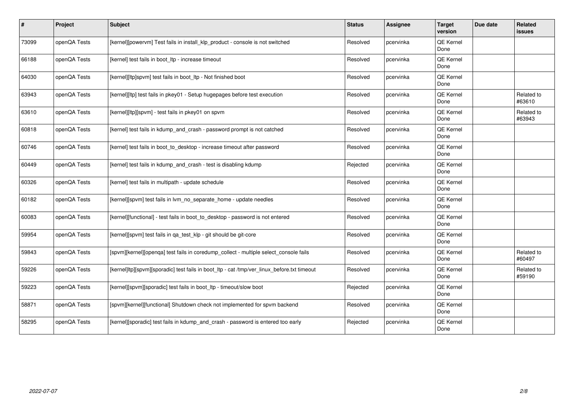| #     | Project      | Subject                                                                                     | <b>Status</b> | Assignee  | <b>Target</b><br>version | Due date | Related<br>issues    |
|-------|--------------|---------------------------------------------------------------------------------------------|---------------|-----------|--------------------------|----------|----------------------|
| 73099 | openQA Tests | [kernel][powervm] Test fails in install_klp_product - console is not switched               | Resolved      | pcervinka | QE Kernel<br>Done        |          |                      |
| 66188 | openQA Tests | [kernel] test fails in boot Itp - increase timeout                                          | Resolved      | pcervinka | QE Kernel<br>Done        |          |                      |
| 64030 | openQA Tests | [kernel][ltp]spvm] test fails in boot Itp - Not finished boot                               | Resolved      | pcervinka | QE Kernel<br>Done        |          |                      |
| 63943 | openQA Tests | [kernel][ltp] test fails in pkey01 - Setup hugepages before test execution                  | Resolved      | pcervinka | QE Kernel<br>Done        |          | Related to<br>#63610 |
| 63610 | openQA Tests | [kernel][ltp][spvm] - test fails in pkey01 on spvm                                          | Resolved      | pcervinka | QE Kernel<br>Done        |          | Related to<br>#63943 |
| 60818 | openQA Tests | [kernel] test fails in kdump_and_crash - password prompt is not catched                     | Resolved      | pcervinka | QE Kernel<br>Done        |          |                      |
| 60746 | openQA Tests | [kernel] test fails in boot_to_desktop - increase timeout after password                    | Resolved      | pcervinka | QE Kernel<br>Done        |          |                      |
| 60449 | openQA Tests | [kernel] test fails in kdump_and_crash - test is disabling kdump                            | Rejected      | pcervinka | QE Kernel<br>Done        |          |                      |
| 60326 | openQA Tests | [kernel] test fails in multipath - update schedule                                          | Resolved      | pcervinka | QE Kernel<br>Done        |          |                      |
| 60182 | openQA Tests | [kernel][spvm] test fails in lvm_no_separate_home - update needles                          | Resolved      | pcervinka | QE Kernel<br>Done        |          |                      |
| 60083 | openQA Tests | [kernel][functional] - test fails in boot to desktop - password is not entered              | Resolved      | pcervinka | QE Kernel<br>Done        |          |                      |
| 59954 | openQA Tests | [kernel][spvm] test fails in ga test klp - git should be git-core                           | Resolved      | pcervinka | QE Kernel<br>Done        |          |                      |
| 59843 | openQA Tests | [spvm][kernel][openqa] test fails in coredump_collect - multiple select_console fails       | Resolved      | pcervinka | QE Kernel<br>Done        |          | Related to<br>#60497 |
| 59226 | openQA Tests | [kernel]ltp][spvm][sporadic] test fails in boot_ltp - cat /tmp/ver_linux_before.txt timeout | Resolved      | pcervinka | QE Kernel<br>Done        |          | Related to<br>#59190 |
| 59223 | openQA Tests | [kernel][spvm][sporadic] test fails in boot_ltp - timeout/slow boot                         | Rejected      | pcervinka | QE Kernel<br>Done        |          |                      |
| 58871 | openQA Tests | [spvm][kernel][functional] Shutdown check not implemented for spvm backend                  | Resolved      | pcervinka | QE Kernel<br>Done        |          |                      |
| 58295 | openQA Tests | [kernel][sporadic] test fails in kdump_and_crash - password is entered too early            | Rejected      | pcervinka | QE Kernel<br>Done        |          |                      |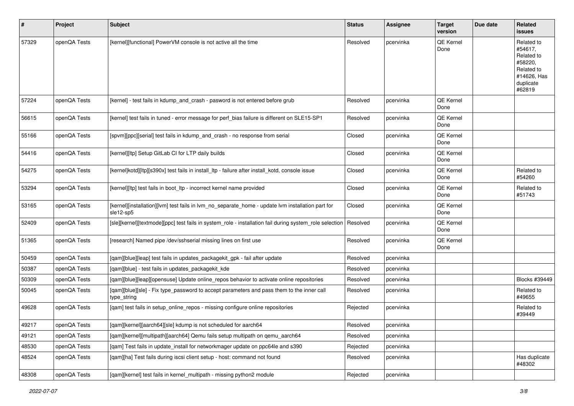| #     | Project      | Subject                                                                                                        | <b>Status</b> | Assignee  | <b>Target</b><br>version | Due date | Related<br>issues                                                                                  |
|-------|--------------|----------------------------------------------------------------------------------------------------------------|---------------|-----------|--------------------------|----------|----------------------------------------------------------------------------------------------------|
| 57329 | openQA Tests | [kernel][functional] PowerVM console is not active all the time                                                | Resolved      | pcervinka | QE Kernel<br>Done        |          | Related to<br>#54617.<br>Related to<br>#58220,<br>Related to<br>#14626, Has<br>duplicate<br>#62819 |
| 57224 | openQA Tests | [kernel] - test fails in kdump_and_crash - pasword is not entered before grub                                  | Resolved      | pcervinka | QE Kernel<br>Done        |          |                                                                                                    |
| 56615 | openQA Tests | [kernel] test fails in tuned - error message for perf_bias failure is different on SLE15-SP1                   | Resolved      | pcervinka | QE Kernel<br>Done        |          |                                                                                                    |
| 55166 | openQA Tests | [spvm][ppc][serial] test fails in kdump_and_crash - no response from serial                                    | Closed        | pcervinka | QE Kernel<br>Done        |          |                                                                                                    |
| 54416 | openQA Tests | [kernel][ltp] Setup GitLab CI for LTP daily builds                                                             | Closed        | pcervinka | QE Kernel<br>Done        |          |                                                                                                    |
| 54275 | openQA Tests | [kernel]kotd][ltp][s390x] test fails in install_ltp - failure after install_kotd, console issue                | Closed        | pcervinka | QE Kernel<br>Done        |          | Related to<br>#54260                                                                               |
| 53294 | openQA Tests | [kernel][ltp] test fails in boot ltp - incorrect kernel name provided                                          | Closed        | pcervinka | QE Kernel<br>Done        |          | Related to<br>#51743                                                                               |
| 53165 | openQA Tests | [kernel][installation][lvm] test fails in lvm_no_separate_home - update lvm installation part for<br>sle12-sp5 | Closed        | pcervinka | QE Kernel<br>Done        |          |                                                                                                    |
| 52409 | openQA Tests | [sle][kernel][textmode][ppc] test fails in system_role - installation fail during system_role selection        | Resolved      | pcervinka | QE Kernel<br>Done        |          |                                                                                                    |
| 51365 | openQA Tests | [research] Named pipe /dev/sshserial missing lines on first use                                                | Resolved      | pcervinka | QE Kernel<br>Done        |          |                                                                                                    |
| 50459 | openQA Tests | [qam][blue][leap] test fails in updates_packagekit_gpk - fail after update                                     | Resolved      | pcervinka |                          |          |                                                                                                    |
| 50387 | openQA Tests | [qam][blue] - test fails in updates_packagekit_kde                                                             | Resolved      | pcervinka |                          |          |                                                                                                    |
| 50309 | openQA Tests | [qam][blue][leap][opensuse] Update online_repos behavior to activate online repositories                       | Resolved      | pcervinka |                          |          | Blocks #39449                                                                                      |
| 50045 | openQA Tests | [qam][blue][sle] - Fix type_password to accept parameters and pass them to the inner call<br>type_string       | Resolved      | pcervinka |                          |          | Related to<br>#49655                                                                               |
| 49628 | openQA Tests | [qam] test fails in setup_online_repos - missing configure online repositories                                 | Rejected      | pcervinka |                          |          | Related to<br>#39449                                                                               |
| 49217 | openQA Tests | [qam][kernel][aarch64][sle] kdump is not scheduled for aarch64                                                 | Resolved      | pcervinka |                          |          |                                                                                                    |
| 49121 | openQA Tests | [qam][kernel][multipath][aarch64] Qemu fails setup multipath on qemu_aarch64                                   | Resolved      | pcervinka |                          |          |                                                                                                    |
| 48530 | openQA Tests | [gam] Test fails in update install for networkmager update on ppc64le and s390                                 | Rejected      | pcervinka |                          |          |                                                                                                    |
| 48524 | openQA Tests | [gam][ha] Test fails during iscsi client setup - host: command not found                                       | Resolved      | pcervinka |                          |          | Has duplicate<br>#48302                                                                            |
| 48308 | openQA Tests | [qam][kernel] test fails in kernel_multipath - missing python2 module                                          | Rejected      | pcervinka |                          |          |                                                                                                    |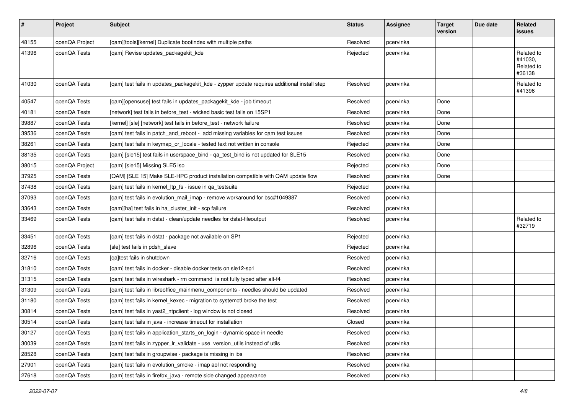| $\sharp$ | Project        | <b>Subject</b>                                                                              | <b>Status</b> | <b>Assignee</b> | <b>Target</b><br>version | Due date | Related<br>issues                             |
|----------|----------------|---------------------------------------------------------------------------------------------|---------------|-----------------|--------------------------|----------|-----------------------------------------------|
| 48155    | openQA Project | [qam][tools][kernel] Duplicate bootindex with multiple paths                                | Resolved      | pcervinka       |                          |          |                                               |
| 41396    | openQA Tests   | [qam] Revise updates_packagekit_kde                                                         | Rejected      | pcervinka       |                          |          | Related to<br>#41030,<br>Related to<br>#36138 |
| 41030    | openQA Tests   | [qam] test fails in updates_packagekit_kde - zypper update requires additional install step | Resolved      | pcervinka       |                          |          | Related to<br>#41396                          |
| 40547    | openQA Tests   | [qam][opensuse] test fails in updates_packagekit_kde - job timeout                          | Resolved      | pcervinka       | Done                     |          |                                               |
| 40181    | openQA Tests   | [network] test fails in before_test - wicked basic test fails on 15SP1                      | Resolved      | pcervinka       | Done                     |          |                                               |
| 39887    | openQA Tests   | [kernel] [sle] [network] test fails in before_test - network failure                        | Resolved      | pcervinka       | Done                     |          |                                               |
| 39536    | openQA Tests   | [qam] test fails in patch_and_reboot - add missing variables for qam test issues            | Resolved      | pcervinka       | Done                     |          |                                               |
| 38261    | openQA Tests   | [qam] test fails in keymap_or_locale - tested text not written in console                   | Rejected      | pcervinka       | Done                     |          |                                               |
| 38135    | openQA Tests   | [qam] [sle15] test fails in userspace_bind - qa_test_bind is not updated for SLE15          | Resolved      | pcervinka       | Done                     |          |                                               |
| 38015    | openQA Project | [qam] [sle15] Missing SLE5 iso                                                              | Rejected      | pcervinka       | Done                     |          |                                               |
| 37925    | openQA Tests   | [QAM] [SLE 15] Make SLE-HPC product installation compatible with QAM update flow            | Resolved      | pcervinka       | Done                     |          |                                               |
| 37438    | openQA Tests   | [qam] test fails in kernel_ltp_fs - issue in qa_testsuite                                   | Rejected      | pcervinka       |                          |          |                                               |
| 37093    | openQA Tests   | [qam] test fails in evolution_mail_imap - remove workaround for bsc#1049387                 | Resolved      | pcervinka       |                          |          |                                               |
| 33643    | openQA Tests   | [gam][ha] test fails in ha cluster init - scp failure                                       | Resolved      | pcervinka       |                          |          |                                               |
| 33469    | openQA Tests   | [qam] test fails in dstat - clean/update needles for dstat-fileoutput                       | Resolved      | pcervinka       |                          |          | Related to<br>#32719                          |
| 33451    | openQA Tests   | [qam] test fails in dstat - package not available on SP1                                    | Rejected      | pcervinka       |                          |          |                                               |
| 32896    | openQA Tests   | [sle] test fails in pdsh_slave                                                              | Rejected      | pcervinka       |                          |          |                                               |
| 32716    | openQA Tests   | [ga]test fails in shutdown                                                                  | Resolved      | pcervinka       |                          |          |                                               |
| 31810    | openQA Tests   | [qam] test fails in docker - disable docker tests on sle12-sp1                              | Resolved      | pcervinka       |                          |          |                                               |
| 31315    | openQA Tests   | [qam] test fails in wireshark - rm command is not fully typed after alt-f4                  | Resolved      | pcervinka       |                          |          |                                               |
| 31309    | openQA Tests   | [qam] test fails in libreoffice_mainmenu_components - needles should be updated             | Resolved      | pcervinka       |                          |          |                                               |
| 31180    | openQA Tests   | [qam] test fails in kernel_kexec - migration to systemctl broke the test                    | Resolved      | pcervinka       |                          |          |                                               |
| 30814    | openQA Tests   | [qam] test fails in yast2_ntpclient - log window is not closed                              | Resolved      | pcervinka       |                          |          |                                               |
| 30514    | openQA Tests   | [gam] test fails in java - increase timeout for installation                                | Closed        | pcervinka       |                          |          |                                               |
| 30127    | openQA Tests   | [qam] test fails in application_starts_on_login - dynamic space in needle                   | Resolved      | pcervinka       |                          |          |                                               |
| 30039    | openQA Tests   | [qam] test fails in zypper_lr_validate - use version_utils instead of utils                 | Resolved      | pcervinka       |                          |          |                                               |
| 28528    | openQA Tests   | [qam] test fails in groupwise - package is missing in ibs                                   | Resolved      | pcervinka       |                          |          |                                               |
| 27901    | openQA Tests   | [qam] test fails in evolution_smoke - imap aol not responding                               | Resolved      | pcervinka       |                          |          |                                               |
| 27618    | openQA Tests   | [qam] test fails in firefox_java - remote side changed appearance                           | Resolved      | pcervinka       |                          |          |                                               |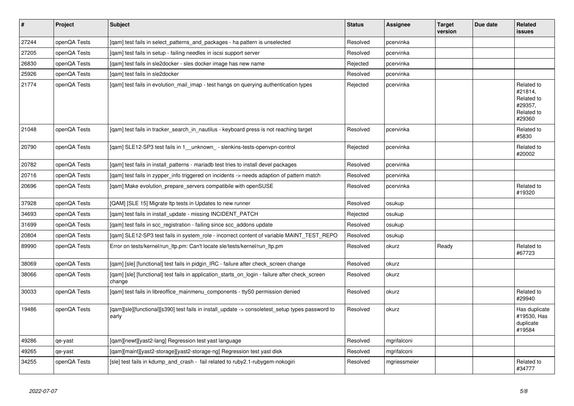| $\vert$ # | Project      | <b>Subject</b>                                                                                            | <b>Status</b> | <b>Assignee</b> | <b>Target</b><br>version | Due date | <b>Related</b><br><b>issues</b>                                        |
|-----------|--------------|-----------------------------------------------------------------------------------------------------------|---------------|-----------------|--------------------------|----------|------------------------------------------------------------------------|
| 27244     | openQA Tests | [gam] test fails in select patterns and packages - ha pattern is unselected                               | Resolved      | pcervinka       |                          |          |                                                                        |
| 27205     | openQA Tests | [qam] test fails in setup - failing needles in iscsi support server                                       | Resolved      | pcervinka       |                          |          |                                                                        |
| 26830     | openQA Tests | [gam] test fails in sle2docker - sles docker image has new name                                           | Rejected      | pcervinka       |                          |          |                                                                        |
| 25926     | openQA Tests | [gam] test fails in sle2docker                                                                            | Resolved      | pcervinka       |                          |          |                                                                        |
| 21774     | openQA Tests | [gam] test fails in evolution mail imap - test hangs on querying authentication types                     | Rejected      | pcervinka       |                          |          | Related to<br>#21814,<br>Related to<br>#29357,<br>Related to<br>#29360 |
| 21048     | openQA Tests | [gam] test fails in tracker_search_in_nautilus - keyboard press is not reaching target                    | Resolved      | pcervinka       |                          |          | Related to<br>#5830                                                    |
| 20790     | openQA Tests | [gam] SLE12-SP3 test fails in 1 unknown - slenkins-tests-openvpn-control                                  | Rejected      | pcervinka       |                          |          | Related to<br>#20002                                                   |
| 20782     | openQA Tests | [gam] test fails in install patterns - mariadb test tries to install devel packages                       | Resolved      | pcervinka       |                          |          |                                                                        |
| 20716     | openQA Tests | [gam] test fails in zypper info triggered on incidents -> needs adaption of pattern match                 | Resolved      | pcervinka       |                          |          |                                                                        |
| 20696     | openQA Tests | [gam] Make evolution prepare servers compatibile with openSUSE                                            | Resolved      | pcervinka       |                          |          | Related to<br>#19320                                                   |
| 37928     | openQA Tests | [QAM] [SLE 15] Migrate Itp tests in Updates to new runner                                                 | Resolved      | osukup          |                          |          |                                                                        |
| 34693     | openQA Tests | [qam] test fails in install_update - missing INCIDENT_PATCH                                               | Rejected      | osukup          |                          |          |                                                                        |
| 31699     | openQA Tests | [gam] test fails in scc registration - failing since scc addons update                                    | Resolved      | osukup          |                          |          |                                                                        |
| 20804     | openQA Tests | [gam] SLE12-SP3 test fails in system role - incorrect content of variable MAINT TEST REPO                 | Resolved      | osukup          |                          |          |                                                                        |
| 89990     | openQA Tests | Error on tests/kernel/run ltp.pm: Can't locate sle/tests/kernel/run ltp.pm                                | Resolved      | okurz           | Ready                    |          | Related to<br>#67723                                                   |
| 38069     | openQA Tests | [gam] [sle] [functional] test fails in pidgin IRC - failure after check screen change                     | Resolved      | okurz           |                          |          |                                                                        |
| 38066     | openQA Tests | [qam] [sle] [functional] test fails in application_starts_on_login - failure after check_screen<br>change | Resolved      | okurz           |                          |          |                                                                        |
| 30033     | openQA Tests | [gam] test fails in libreoffice mainmenu components - ttyS0 permission denied                             | Resolved      | okurz           |                          |          | Related to<br>#29940                                                   |
| 19486     | openQA Tests | [qam][sle][functional][s390] test fails in install_update -> consoletest_setup types password to<br>early | Resolved      | okurz           |                          |          | Has duplicate<br>#19530, Has<br>duplicate<br>#19584                    |
| 49286     | qe-yast      | [gam][newt][yast2-lang] Regression test yast language                                                     | Resolved      | mgrifalconi     |                          |          |                                                                        |
| 49265     | qe-yast      | [qam][maint][yast2-storage][yast2-storage-ng] Regression test yast disk                                   | Resolved      | mgrifalconi     |                          |          |                                                                        |
| 34255     | openQA Tests | [sle] test fails in kdump_and_crash - fail related to ruby2.1-rubygem-nokogiri                            | Resolved      | mgriessmeier    |                          |          | Related to<br>#34777                                                   |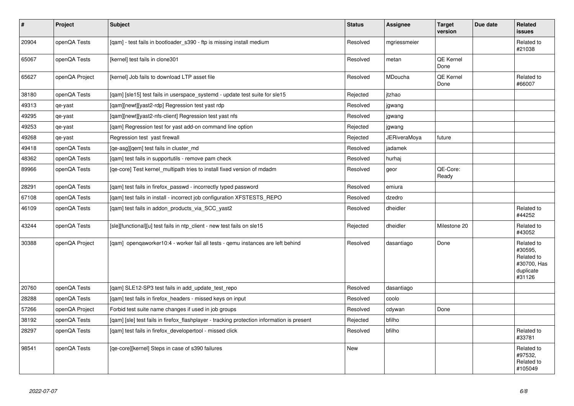| #     | Project        | <b>Subject</b>                                                                             | <b>Status</b> | <b>Assignee</b> | <b>Target</b><br>version | Due date | Related<br><b>issues</b>                                                  |
|-------|----------------|--------------------------------------------------------------------------------------------|---------------|-----------------|--------------------------|----------|---------------------------------------------------------------------------|
| 20904 | openQA Tests   | [qam] - test fails in bootloader_s390 - ftp is missing install medium                      | Resolved      | mgriessmeier    |                          |          | Related to<br>#21038                                                      |
| 65067 | openQA Tests   | [kernel] test fails in clone301                                                            | Resolved      | metan           | <b>QE Kernel</b><br>Done |          |                                                                           |
| 65627 | openQA Project | [kernel] Job fails to download LTP asset file                                              | Resolved      | MDoucha         | QE Kernel<br>Done        |          | Related to<br>#66007                                                      |
| 38180 | openQA Tests   | [qam] [sle15] test fails in userspace_systemd - update test suite for sle15                | Rejected      | itzhao          |                          |          |                                                                           |
| 49313 | qe-yast        | [qam][newt][yast2-rdp] Regression test yast rdp                                            | Resolved      | jgwang          |                          |          |                                                                           |
| 49295 | qe-yast        | [gam][newt][yast2-nfs-client] Regression test yast nfs                                     | Resolved      | jgwang          |                          |          |                                                                           |
| 49253 | qe-yast        | [qam] Regression test for yast add-on command line option                                  | Rejected      | jgwang          |                          |          |                                                                           |
| 49268 | qe-yast        | Regression test yast firewall                                                              | Rejected      | JERiveraMoya    | future                   |          |                                                                           |
| 49418 | openQA Tests   | [ge-asg][gem] test fails in cluster md                                                     | Resolved      | jadamek         |                          |          |                                                                           |
| 48362 | openQA Tests   | [gam] test fails in supportutils - remove pam check                                        | Resolved      | hurhaj          |                          |          |                                                                           |
| 89966 | openQA Tests   | [qe-core] Test kernel multipath tries to install fixed version of mdadm                    | Resolved      | geor            | QE-Core:<br>Ready        |          |                                                                           |
| 28291 | openQA Tests   | [qam] test fails in firefox_passwd - incorrectly typed password                            | Resolved      | emiura          |                          |          |                                                                           |
| 67108 | openQA Tests   | [gam] test fails in install - incorrect job configuration XFSTESTS REPO                    | Resolved      | dzedro          |                          |          |                                                                           |
| 46109 | openQA Tests   | [qam] test fails in addon_products_via_SCC_yast2                                           | Resolved      | dheidler        |                          |          | Related to<br>#44252                                                      |
| 43244 | openQA Tests   | [sle][functional][u] test fails in ntp_client - new test fails on sle15                    | Rejected      | dheidler        | Milestone 20             |          | Related to<br>#43052                                                      |
| 30388 | openQA Project | [gam] opengaworker10:4 - worker fail all tests - gemu instances are left behind            | Resolved      | dasantiago      | Done                     |          | Related to<br>#30595,<br>Related to<br>#30700, Has<br>duplicate<br>#31126 |
| 20760 | openQA Tests   | [qam] SLE12-SP3 test fails in add_update_test_repo                                         | Resolved      | dasantiago      |                          |          |                                                                           |
| 28288 | openQA Tests   | [qam] test fails in firefox_headers - missed keys on input                                 | Resolved      | coolo           |                          |          |                                                                           |
| 57266 | openQA Project | Forbid test suite name changes if used in job groups                                       | Resolved      | cdywan          | Done                     |          |                                                                           |
| 38192 | openQA Tests   | [gam] [sle] test fails in firefox_flashplayer - tracking protection information is present | Rejected      | bfilho          |                          |          |                                                                           |
| 28297 | openQA Tests   | [gam] test fails in firefox developertool - missed click                                   | Resolved      | bfilho          |                          |          | Related to<br>#33781                                                      |
| 98541 | openQA Tests   | [qe-core][kernel] Steps in case of s390 failures                                           | <b>New</b>    |                 |                          |          | Related to<br>#97532,<br>Related to<br>#105049                            |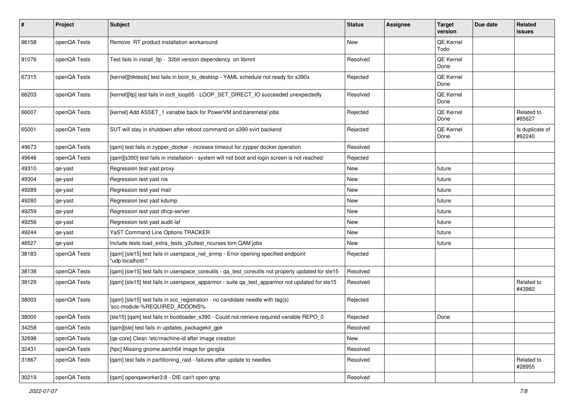| $\pmb{\#}$ | Project      | <b>Subject</b>                                                                                                  | <b>Status</b> | Assignee | <b>Target</b><br>version | Due date | Related<br>issues         |
|------------|--------------|-----------------------------------------------------------------------------------------------------------------|---------------|----------|--------------------------|----------|---------------------------|
| 96158      | openQA Tests | Remove RT product installation workaround                                                                       | <b>New</b>    |          | QE Kernel<br>Todo        |          |                           |
| 91076      | openQA Tests | Test fails in install Itp - 32bit version dependency on libmnl                                                  | Resolved      |          | QE Kernel<br>Done        |          |                           |
| 67315      | openQA Tests | [kernel][blktests] test fails in boot_to_desktop - YAML schedule not ready for s390x                            | Rejected      |          | QE Kernel<br>Done        |          |                           |
| 66203      | openQA Tests | [kernel][ltp] test fails in ioctl_loop05 - LOOP_SET_DIRECT_IO succeeded unexpectedly                            | Resolved      |          | <b>QE Kernel</b><br>Done |          |                           |
| 66007      | openQA Tests | [kernel] Add ASSET_1 variable back for PowerVM and baremetal jobs                                               | Rejected      |          | QE Kernel<br>Done        |          | Related to<br>#65627      |
| 65001      | openQA Tests | SUT will stay in shutdown after reboot command on s390 svirt backend                                            | Rejected      |          | <b>QE Kernel</b><br>Done |          | Is duplicate of<br>#62240 |
| 49673      | openQA Tests | [gam] test fails in zypper docker - increase timeout for zypper docker operation                                | Resolved      |          |                          |          |                           |
| 49646      | openQA Tests | [gam][s390] test fails in installation - system will not boot and login screen is not reached                   | Rejected      |          |                          |          |                           |
| 49310      | qe-yast      | Regression test yast proxy                                                                                      | New           |          | future                   |          |                           |
| 49304      | qe-yast      | Regression test yast nis                                                                                        | New           |          | future                   |          |                           |
| 49289      | qe-yast      | Regression test yast mail                                                                                       | New           |          | future                   |          |                           |
| 49280      | qe-yast      | Regression test yast kdump                                                                                      | New           |          | future                   |          |                           |
| 49259      | qe-yast      | Regression test yast dhcp-server                                                                                | New           |          | future                   |          |                           |
| 49256      | qe-yast      | Regression test yast audit-laf                                                                                  | <b>New</b>    |          | future                   |          |                           |
| 49244      | qe-yast      | YaST Command Line Options TRACKER                                                                               | New           |          | future                   |          |                           |
| 48527      | qe-yast      | Include tests load_extra_tests_y2uitest_ncurses tom QAM jobs                                                    | New           |          | future                   |          |                           |
| 38183      | openQA Tests | [qam] [sle15] test fails in userspace_net_snmp - Error opening specified endpoint<br>"udp:localhost:"           | Rejected      |          |                          |          |                           |
| 38138      | openQA Tests | [qam] [sle15] test fails in userspace_coreutils - qa_test_coreutils not properly updated for sle15              | Resolved      |          |                          |          |                           |
| 38129      | openQA Tests | [qam] [sle15] test fails in userspace_apparmor - suite qa_test_apparmor not updated for sle15                   | Resolved      |          |                          |          | Related to<br>#43982      |
| 38003      | openQA Tests | [qam] [sle15] test fails in scc_registration - no candidate needle with tag(s)<br>'scc-module-%REQUIRED ADDONS% | Rejected      |          |                          |          |                           |
| 38000      | openQA Tests | [sle15] [qam] test fails in bootloader_s390 - Could not retrieve required variable REPO_0                       | Rejected      |          | Done                     |          |                           |
| 34258      | openQA Tests | [qam][sle] test fails in updates_packagekit_gpk                                                                 | Resolved      |          |                          |          |                           |
| 32698      | openQA Tests | [qe-core] Clean /etc/machine-id after image creation                                                            | New           |          |                          |          |                           |
| 32431      | openQA Tests | [hpc] Missing gnome aarch64 image for ganglia                                                                   | Resolved      |          |                          |          |                           |
| 31867      | openQA Tests | [qam] test fails in partitioning_raid - failures after update to needles                                        | Resolved      |          |                          |          | Related to<br>#28955      |
| 30219      | openQA Tests | [qam] openqaworker3:8 - DIE can't open qmp                                                                      | Resolved      |          |                          |          |                           |